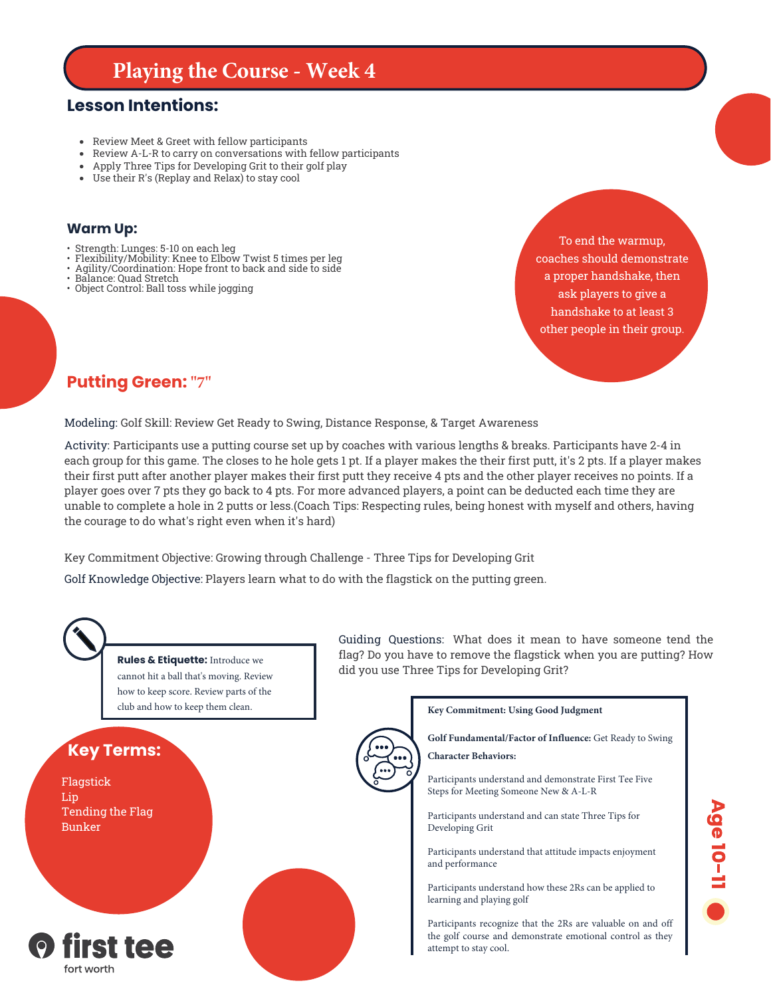# **Playing the Course - Week 4**

### **Lesson Intentions:**

- Review Meet & Greet with fellow participants
- Review A-L-R to carry on conversations with fellow participants
- Apply Three Tips for Developing Grit to their golf play
- Use their R's (Replay and Relax) to stay cool

#### **Warm Up:**

- Strength: Lunges: 5-10 on each leg
- Flexibility/Mobility: Knee to Elbow Twist 5 times per leg
- Agility/Coordination: Hope front to back and side to side
- Balance: Quad Stretch
- Object Control: Ball toss while jogging

To end the warmup, coaches should demonstrate a proper handshake, then ask players to give a handshake to at least 3 other people in their group.

### **Putting Green: "7"**

Modeling: Golf Skill: Review Get Ready to Swing, Distance Response, & Target Awareness

Activity: Participants use a putting course set up by coaches with various lengths & breaks. Participants have 2-4 in each group for this game. The closes to he hole gets 1 pt. If a player makes the their first putt, it's 2 pts. If a player makes their first putt after another player makes their first putt they receive 4 pts and the other player receives no points. If a player goes over 7 pts they go back to 4 pts. For more advanced players, a point can be deducted each time they are unable to complete a hole in 2 putts or less.(Coach Tips: Respecting rules, being honest with myself and others, having the courage to do what's right even when it's hard)

Key Commitment Objective: Growing through Challenge - Three Tips for Developing Grit

Golf Knowledge Objective: Players learn what to do with the flagstick on the putting green.



**Rules & Etiquette:** Introduce we cannot hit a ball that's moving. Review how to keep score. Review parts of the club and how to keep them clean.

## **Key Terms:**

Flagstick Lip Tending the Flag Bunker



Guiding Questions: What does it mean to have someone tend the flag? Do you have to remove the flagstick when you are putting? How did you use Three Tips for Developing Grit?

**Key Commitment: Using Good Judgment**

**Golf Fundamental/Factor of Influence:** Get Ready to Swing

**Character Behaviors:**

Participants understand and demonstrate First Tee Five Steps for Meeting Someone New & A-L-R

Participants understand and can state Three Tips for Developing Grit

Participants understand that attitude impacts enjoyment and performance

**Age 10-11 6** 

Participants understand how these 2Rs can be applied to learning and playing golf

Participants recognize that the 2Rs are valuable on and off the golf course and demonstrate emotional control as they attempt to stay cool.